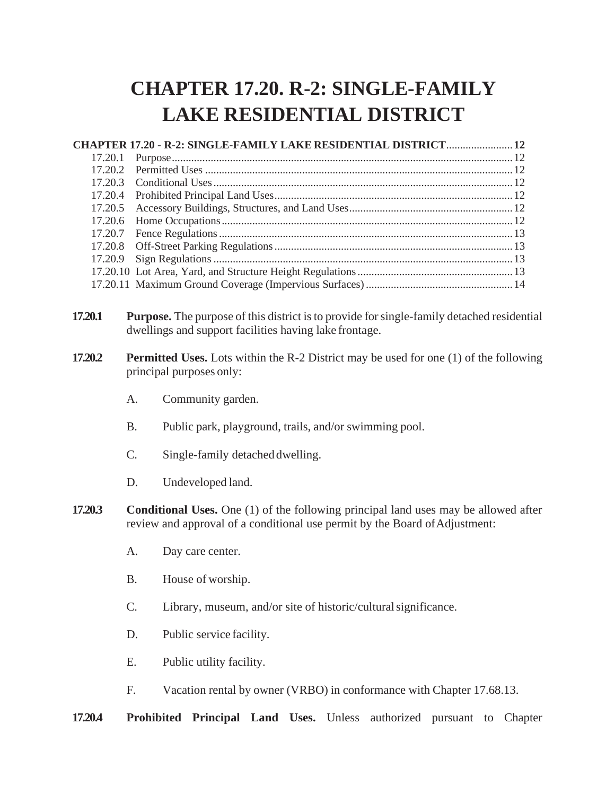## **CHAPTER 17.20. R-2: SINGLE-FAMILY LAKE RESIDENTIAL DISTRICT**

|         |                                                                                                                                                                           | CHAPTER 17.20 - R-2: SINGLE-FAMILY LAKE RESIDENTIAL DISTRICT 12                                                                                             |  |  |  |  |
|---------|---------------------------------------------------------------------------------------------------------------------------------------------------------------------------|-------------------------------------------------------------------------------------------------------------------------------------------------------------|--|--|--|--|
| 17.20.1 |                                                                                                                                                                           |                                                                                                                                                             |  |  |  |  |
| 17.20.2 |                                                                                                                                                                           |                                                                                                                                                             |  |  |  |  |
| 17.20.3 |                                                                                                                                                                           |                                                                                                                                                             |  |  |  |  |
| 17.20.4 |                                                                                                                                                                           |                                                                                                                                                             |  |  |  |  |
| 17.20.5 |                                                                                                                                                                           |                                                                                                                                                             |  |  |  |  |
| 17.20.6 |                                                                                                                                                                           |                                                                                                                                                             |  |  |  |  |
| 17.20.7 |                                                                                                                                                                           |                                                                                                                                                             |  |  |  |  |
| 17.20.8 |                                                                                                                                                                           |                                                                                                                                                             |  |  |  |  |
| 17.20.9 |                                                                                                                                                                           |                                                                                                                                                             |  |  |  |  |
|         |                                                                                                                                                                           |                                                                                                                                                             |  |  |  |  |
|         |                                                                                                                                                                           |                                                                                                                                                             |  |  |  |  |
|         |                                                                                                                                                                           |                                                                                                                                                             |  |  |  |  |
| 17.20.1 |                                                                                                                                                                           | <b>Purpose.</b> The purpose of this district is to provide for single-family detached residential<br>dwellings and support facilities having lake frontage. |  |  |  |  |
| 17.20.2 | <b>Permitted Uses.</b> Lots within the R-2 District may be used for one (1) of the following<br>principal purposes only:                                                  |                                                                                                                                                             |  |  |  |  |
|         | A.                                                                                                                                                                        | Community garden.                                                                                                                                           |  |  |  |  |
|         | <b>B.</b>                                                                                                                                                                 | Public park, playground, trails, and/or swimming pool.                                                                                                      |  |  |  |  |
|         | C.                                                                                                                                                                        | Single-family detached dwelling.                                                                                                                            |  |  |  |  |
|         | D.                                                                                                                                                                        | Undeveloped land.                                                                                                                                           |  |  |  |  |
| 17.20.3 | <b>Conditional Uses.</b> One (1) of the following principal land uses may be allowed after<br>review and approval of a conditional use permit by the Board of Adjustment: |                                                                                                                                                             |  |  |  |  |
|         | A.                                                                                                                                                                        | Day care center.                                                                                                                                            |  |  |  |  |
|         | <b>B.</b>                                                                                                                                                                 | House of worship.                                                                                                                                           |  |  |  |  |
|         | C.                                                                                                                                                                        | Library, museum, and/or site of historic/cultural significance.                                                                                             |  |  |  |  |
|         | D.                                                                                                                                                                        | Public service facility.                                                                                                                                    |  |  |  |  |
|         | Е.                                                                                                                                                                        | Public utility facility.                                                                                                                                    |  |  |  |  |

F. Vacation rental by owner (VRBO) in conformance with Chapter 17.68.13.

**17.20.4 Prohibited Principal Land Uses.** Unless authorized pursuant to Chapter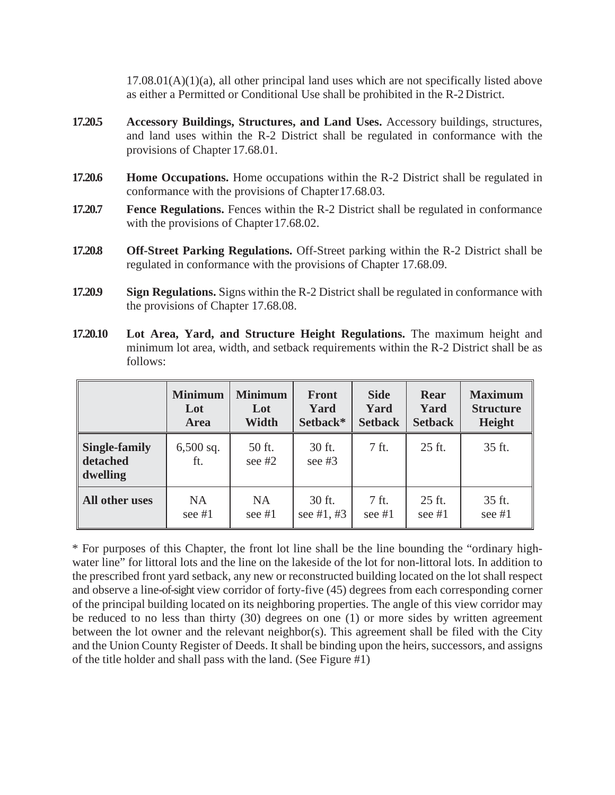$17.08.01(A)(1)(a)$ , all other principal land uses which are not specifically listed above as either a Permitted or Conditional Use shall be prohibited in the R-2 District.

- **17.20.5 Accessory Buildings, Structures, and Land Uses.** Accessory buildings, structures, and land uses within the R-2 District shall be regulated in conformance with the provisions of Chapter 17.68.01.
- **17.20.6 Home Occupations.** Home occupations within the R-2 District shall be regulated in conformance with the provisions of Chapter17.68.03.
- **17.20.7 Fence Regulations.** Fences within the R-2 District shall be regulated in conformance with the provisions of Chapter 17.68.02.
- **17.20.8 Off-Street Parking Regulations.** Off-Street parking within the R-2 District shall be regulated in conformance with the provisions of Chapter 17.68.09.
- **17.20.9 Sign Regulations.** Signs within the R-2 District shall be regulated in conformance with the provisions of Chapter 17.68.08.
- **17.20.10 Lot Area, Yard, and Structure Height Regulations.** The maximum height and minimum lot area, width, and setback requirements within the R-2 District shall be as follows:

|                                              | <b>Minimum</b>     | <b>Minimum</b>     | <b>Front</b>       | <b>Side</b>    | <b>Rear</b>    | <b>Maximum</b>   |
|----------------------------------------------|--------------------|--------------------|--------------------|----------------|----------------|------------------|
|                                              | Lot                | Lot                | Yard               | Yard           | Yard           | <b>Structure</b> |
|                                              | <b>Area</b>        | <b>Width</b>       | Setback*           | <b>Setback</b> | <b>Setback</b> | <b>Height</b>    |
| <b>Single-family</b><br>detached<br>dwelling | $6,500$ sq.<br>ft. | 50 ft.<br>see $#2$ | 30 ft.<br>see $#3$ | 7 ft.          | 25 ft.         | 35 ft.           |
| All other uses                               | <b>NA</b>          | <b>NA</b>          | 30 ft.             | 7 ft.          | 25 ft.         | 35 ft.           |
|                                              | see $#1$           | see $#1$           | see #1, #3         | see $#1$       | see $#1$       | see $#1$         |

\* For purposes of this Chapter, the front lot line shall be the line bounding the "ordinary highwater line" for littoral lots and the line on the lakeside of the lot for non-littoral lots. In addition to the prescribed front yard setback, any new or reconstructed building located on the lot shall respect and observe a line-of-sight view corridor of forty-five (45) degrees from each corresponding corner of the principal building located on its neighboring properties. The angle of this view corridor may be reduced to no less than thirty (30) degrees on one (1) or more sides by written agreement between the lot owner and the relevant neighbor(s). This agreement shall be filed with the City and the Union County Register of Deeds. It shall be binding upon the heirs, successors, and assigns of the title holder and shall pass with the land. (See Figure #1)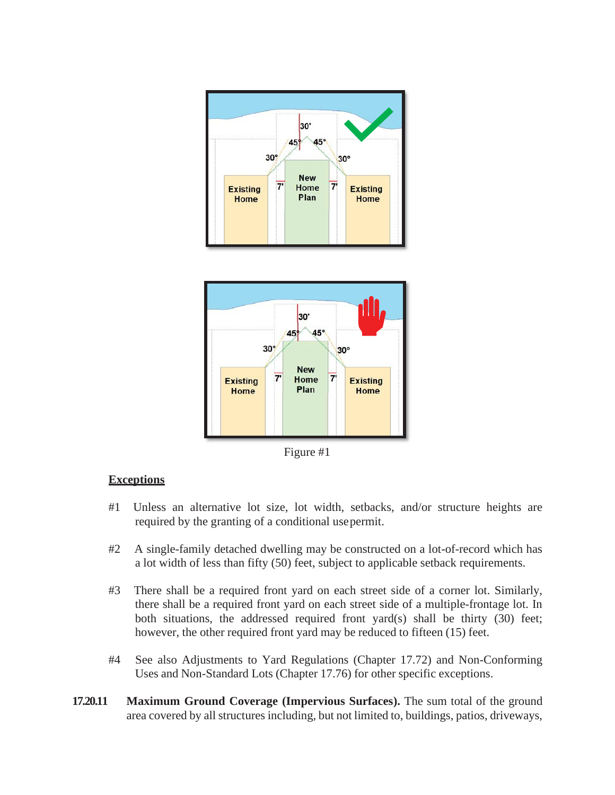



Figure #1

## **Exceptions**

- #1 Unless an alternative lot size, lot width, setbacks, and/or structure heights are required by the granting of a conditional usepermit.
- #2 A single-family detached dwelling may be constructed on a lot-of-record which has a lot width of less than fifty (50) feet, subject to applicable setback requirements.
- #3 There shall be a required front yard on each street side of a corner lot. Similarly, there shall be a required front yard on each street side of a multiple-frontage lot. In both situations, the addressed required front yard(s) shall be thirty (30) feet; however, the other required front yard may be reduced to fifteen (15) feet.
- #4 See also Adjustments to Yard Regulations (Chapter 17.72) and Non-Conforming Uses and Non-Standard Lots (Chapter 17.76) for other specific exceptions.
- **17.20.11 Maximum Ground Coverage (Impervious Surfaces).** The sum total of the ground area covered by all structures including, but not limited to, buildings, patios, driveways,